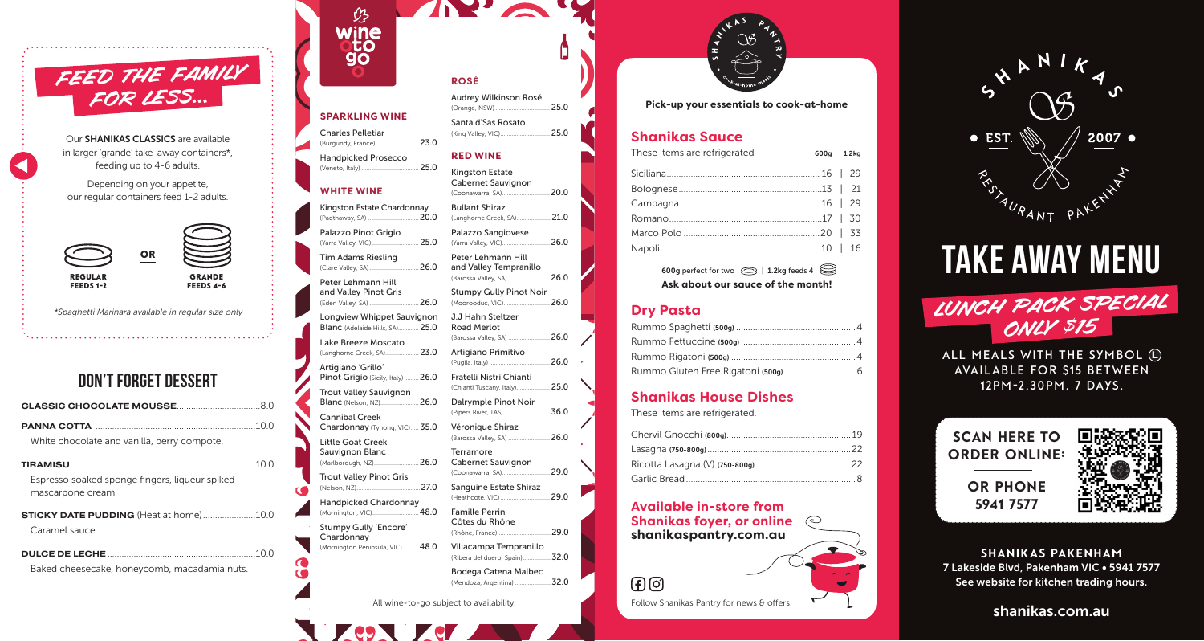

Our SHANIKAS CLASSICS are available in larger 'grande' take-away containers\*, feeding up to 4-6 adults.

Depending on your appetite, our regular containers feed 1-2 adults.



\*Spaghetti Marinara available in regular size only

# don't forget dessert

| White chocolate and vanilla, berry compote.                        |  |
|--------------------------------------------------------------------|--|
|                                                                    |  |
| Espresso soaked sponge fingers, liqueur spiked<br>mascarpone cream |  |
| <b>STICKY DATE PUDDING</b> (Heat at home)10.0                      |  |
| Caramel sauce                                                      |  |
|                                                                    |  |
| Baked cheesecake, honeycomb, macadamia nuts.                       |  |



# **SPARKLING WINE**

**ROSÉ**

Audrey Wilkinson Rosé (Orange, NSW) .................................. 25.0

(King Valley, VIC)............................... 25.0

(Langhorne Creek, SA)......................21.0

(Barossa Valley, SA) ..........................26.0

(Puglia, Italy) ......................................26.0

(Chianti Tuscany, Italy)..................... 25.0

(Pipers River, TAS).............................36.0

(Barossa Valley, SA) ..........................26.0

(Rhône, France) ..................................29.0 Villacampa Tempranillo

Santa d'Sas Rosato

**IND** 

**RED WINE** Kingston Estate Cabernet Sauvignon (Coonawarra, SA)..............................20.0

Bullant Shiraz

(Moorooduc, VIC)... J.J Hahn Steltzer Road Merlot

Artigiano Primitivo

Fratelli Nistri Chianti

Dalrymple Pinot Noir

Cabernet Sauvignon (Coonawarra, SA).............................. 29.0

Sanguine Estate Shiraz (Heathcote, VIC)............................... 29.0

Véronique Shiraz

Terramore

Famille Perrin Côtes du Rhône

Palazzo Sangiovese (Yarra Valley, VIC)..............................26.0

Peter Lehmann Hill and Valley Tempranillo (Barossa Valley, SA) ..........................26.0 Stumpy Gully Pinot Noir

Charles Pelletiar (Burgundy, France)........................... 23.0

Handpicked Prosecco (Veneto, Italy) .................................... 25.0

### **WHITE WINE**

Kingston Estate Chardonnay (Padthaway, SA)... Palazzo Pinot Grigio

(Yarra Valley, VIC).............................. 25.0 Tim Adams Riesling (Clare Valley, SA)...............................26.0

(Eden Valley, SA) ...............................26.0

Peter Lehmann Hill and Valley Pinot Gris

Longview Whippet Sauvignon

Blanc (Adelaide Hills, SA)............. 25.0 Lake Breeze Moscato

(Langhorne Creek, SA)..................... 23.0 Artigiano 'Grillo'

Pinot Grigio (Sicily, Italy) ......... 26.0

Trout Valley Sauvignon Blanc (Nelson, NZ)........................26.0

Cannibal Creek Chardonnay (Tynong, VIC)..... 35.0

Little Goat Creek

Sauvignon Blanc (Marlborough, NZ)............................26.0

Trout Valley Pinot Gris (Nelson, NZ)........................................27.0

Handpicked Chardonnay

(Mornington, VIC).............................48.0 Stumpy Gully 'Encore'

Chardonnay (Mornington Peninsula, VIC).......... 48.0

> (Ribera del duero, Spain) ..................32.0 Bodega Catena Malbec

(Mendoza, Argentina) .......................32.0

All wine-to-go subject to availability.



**Pick-up your essentials to cook-at-home**

### **Shanikas Sauce**

| These items are refrigerated | 600g 1.2kg |  |
|------------------------------|------------|--|
|                              |            |  |
|                              |            |  |
|                              |            |  |
|                              |            |  |
|                              |            |  |
|                              |            |  |
|                              |            |  |

600g perfect for two  $\otimes$  | 1.2kg feeds 4 **Ask about our sauce of the month!**

## **Dry Pasta**

## **Shanikas House Dishes**

These items are refrigerated.

**Available in-store from Shanikas foyer, or online shanikaspantry.com.au**

 $F(G)$ 

Follow Shanikas Pantry for news & offers. Shanikas.com.au



# take away MENU LUNCH PACK SPECIAL ONLY \$15

ALL MEALS WITH THE SYMBOL  $\textcircled{\textsc{1}}$ **AVAILABLE FOR \$15 BETWEEN 12PM-2.30pm, 7 DAYS.**





SHANIKAS PAKENHAM 7 Lakeside Blvd, Pakenham VIC • 5941 7577 See website for kitchen trading hours.